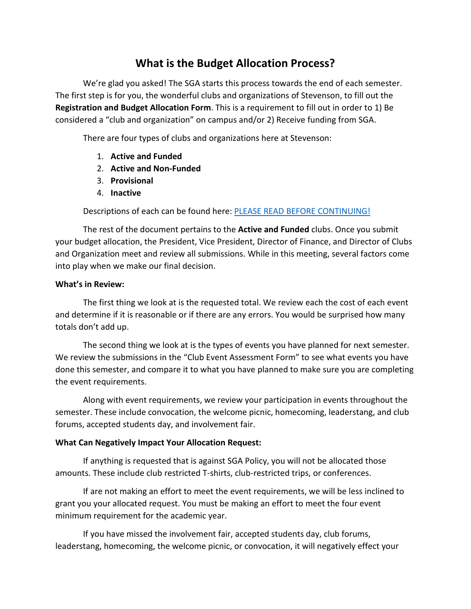## **What is the Budget Allocation Process?**

We're glad you asked! The SGA starts this process towards the end of each semester. The first step is for you, the wonderful clubs and organizations of Stevenson, to fill out the **Registration and Budget Allocation Form**. This is a requirement to fill out in order to 1) Be considered a "club and organization" on campus and/or 2) Receive funding from SGA.

There are four types of clubs and organizations here at Stevenson:

- 1. **Active and Funded**
- 2. **Active and Non-Funded**
- 3. **Provisional**
- 4. **Inactive**

Descriptions of each can be found here: PLEASE READ BEFORE CONTINUING!

The rest of the document pertains to the **Active and Funded** clubs. Once you submit your budget allocation, the President, Vice President, Director of Finance, and Director of Clubs and Organization meet and review all submissions. While in this meeting, several factors come into play when we make our final decision.

## **What's in Review:**

The first thing we look at is the requested total. We review each the cost of each event and determine if it is reasonable or if there are any errors. You would be surprised how many totals don't add up.

The second thing we look at is the types of events you have planned for next semester. We review the submissions in the "Club Event Assessment Form" to see what events you have done this semester, and compare it to what you have planned to make sure you are completing the event requirements.

Along with event requirements, we review your participation in events throughout the semester. These include convocation, the welcome picnic, homecoming, leaderstang, and club forums, accepted students day, and involvement fair.

## **What Can Negatively Impact Your Allocation Request:**

If anything is requested that is against SGA Policy, you will not be allocated those amounts. These include club restricted T-shirts, club-restricted trips, or conferences.

If are not making an effort to meet the event requirements, we will be less inclined to grant you your allocated request. You must be making an effort to meet the four event minimum requirement for the academic year.

If you have missed the involvement fair, accepted students day, club forums, leaderstang, homecoming, the welcome picnic, or convocation, it will negatively effect your